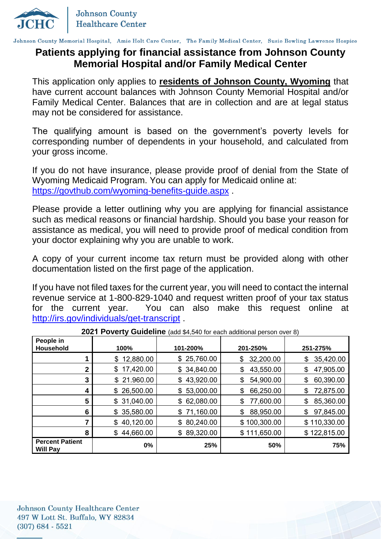

Johnson County Memorial Hospital, Amie Holt Care Center, The Family Medical Center, Susie Bowling Lawrence Hospice

### **Patients applying for financial assistance from Johnson County Memorial Hospital and/or Family Medical Center**

This application only applies to **residents of Johnson County, Wyoming** that have current account balances with Johnson County Memorial Hospital and/or Family Medical Center. Balances that are in collection and are at legal status may not be considered for assistance.

The qualifying amount is based on the government's poverty levels for corresponding number of dependents in your household, and calculated from your gross income.

If you do not have insurance, please provide proof of denial from the State of Wyoming Medicaid Program. You can apply for Medicaid online at: <https://govthub.com/wyoming-benefits-guide.aspx> .

Please provide a letter outlining why you are applying for financial assistance such as medical reasons or financial hardship. Should you base your reason for assistance as medical, you will need to provide proof of medical condition from your doctor explaining why you are unable to work.

A copy of your current income tax return must be provided along with other documentation listed on the first page of the application.

If you have not filed taxes for the current year, you will need to contact the internal revenue service at 1-800-829-1040 and request written proof of your tax status for the current year. You can also make this request online at <http://irs.gov/individuals/get-transcript> .

| <b>EVET T OVGILY GUIGGILILE</b> (QUU V <sub>T</sub> , OTO TOI CQUIT QUUINOTIQI PCISOTI OVGI OT |                 |             |                 |                 |  |
|------------------------------------------------------------------------------------------------|-----------------|-------------|-----------------|-----------------|--|
| People in<br><b>Household</b>                                                                  | 100%            | 101-200%    | 201-250%        | 251-275%        |  |
|                                                                                                | \$12,880.00     | \$25,760.00 | 32,200.00<br>\$ | 35,420.00<br>\$ |  |
| 2                                                                                              | 17,420.00<br>\$ | \$34,840.00 | 43,550.00<br>\$ | 47,905.00<br>\$ |  |
| 3                                                                                              | \$21.960.00     | \$43,920.00 | 54,900.00<br>\$ | 60,390.00<br>\$ |  |
| 4                                                                                              | \$26,500.00     | \$53,000.00 | 66,250.00<br>\$ | 72,875.00<br>\$ |  |
| 5                                                                                              | 31,040.00<br>\$ | \$62,080.00 | 77,600.00<br>\$ | 85,360.00<br>\$ |  |
| 6                                                                                              | \$35,580.00     | \$71,160.00 | 88,950.00<br>\$ | 97,845.00<br>\$ |  |
|                                                                                                | \$40,120.00     | \$80,240.00 | \$100,300.00    | \$110,330.00    |  |
| 8                                                                                              | \$44,660.00     | \$89,320.00 | \$111,650.00    | \$122,815.00    |  |
| <b>Percent Patient</b><br><b>Will Pay</b>                                                      | 0%              | 25%         | 50%             | 75%             |  |

**2021 Poverty Guideline** (add \$4,540 for each additional person over 8)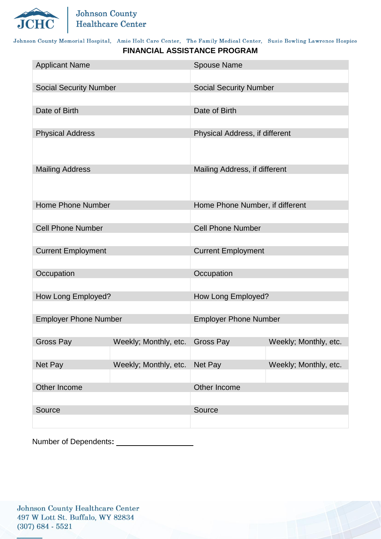

#### Johnson County Memorial Hospital, Amie Holt Care Center, The Family Medical Center, Susie Bowling Lawrence Hospice **FINANCIAL ASSISTANCE PROGRAM**

| <b>Applicant Name</b>         |                       | <b>Spouse Name</b>              |                       |  |
|-------------------------------|-----------------------|---------------------------------|-----------------------|--|
| <b>Social Security Number</b> |                       | <b>Social Security Number</b>   |                       |  |
| Date of Birth                 |                       | Date of Birth                   |                       |  |
| <b>Physical Address</b>       |                       | Physical Address, if different  |                       |  |
|                               |                       |                                 |                       |  |
| <b>Mailing Address</b>        |                       | Mailing Address, if different   |                       |  |
|                               |                       |                                 |                       |  |
| <b>Home Phone Number</b>      |                       | Home Phone Number, if different |                       |  |
| <b>Cell Phone Number</b>      |                       | <b>Cell Phone Number</b>        |                       |  |
| <b>Current Employment</b>     |                       | <b>Current Employment</b>       |                       |  |
| Occupation                    |                       | Occupation                      |                       |  |
| How Long Employed?            |                       | How Long Employed?              |                       |  |
|                               |                       | <b>Employer Phone Number</b>    |                       |  |
| <b>Employer Phone Number</b>  |                       |                                 |                       |  |
| <b>Gross Pay</b>              | Weekly; Monthly, etc. | <b>Gross Pay</b>                | Weekly; Monthly, etc. |  |
| Net Pay                       | Weekly; Monthly, etc. | Net Pay                         | Weekly; Monthly, etc. |  |
| Other Income                  |                       | Other Income                    |                       |  |
| Source                        |                       | Source                          |                       |  |
|                               |                       |                                 |                       |  |

Number of Dependents**:**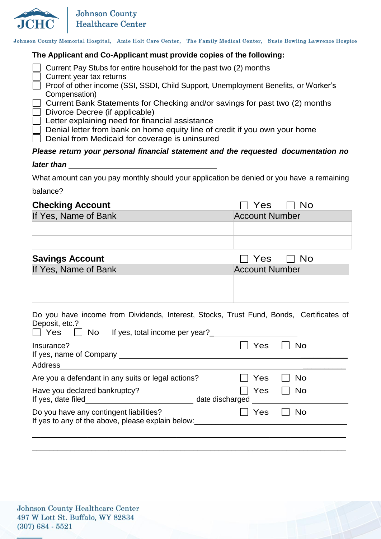

Johnson County Memorial Hospital, Amie Holt Care Center, The Family Medical Center, Susie Bowling Lawrence Hospice

#### **The Applicant and Co-Applicant must provide copies of the following:**

| Current Pay Stubs for entire household for the past two (2) months                                              |
|-----------------------------------------------------------------------------------------------------------------|
| Current year tax returns<br>Proof of other income (SSI, SSDI, Child Support, Unemployment Benefits, or Worker's |
| Compensation)                                                                                                   |
| Current Bank Statements for Checking and/or savings for past two (2) months                                     |
| Divorce Decree (if applicable)                                                                                  |
| Letter explaining need for financial assistance                                                                 |
| Denial letter from bank on home equity line of credit if you own your home                                      |
| Denial from Medicaid for coverage is uninsured                                                                  |
| Dlesse return vaux personal financial etctoment and the requested desumentation n                               |

## *Please return your personal financial statement and the requested documentation no*

*later than*

What amount can you pay monthly should your application be denied or you have a remaining

balance? **balance**?

| <b>Checking Account</b> | $\Box$ Yes $\Box$ No  |
|-------------------------|-----------------------|
| If Yes, Name of Bank    | <b>Account Number</b> |
|                         |                       |
|                         |                       |
| <b>Savings Account</b>  | Yes IINo              |

| oavnigo Aoooani      | 1 UU 1 1 1 1 VU       |
|----------------------|-----------------------|
| If Yes, Name of Bank | <b>Account Number</b> |
|                      |                       |
|                      |                       |

|  |                |  |                                                    |  |  | Do you have income from Dividends, Interest, Stocks, Trust Fund, Bonds, Certificates of |  |
|--|----------------|--|----------------------------------------------------|--|--|-----------------------------------------------------------------------------------------|--|
|  | Deposit, etc.? |  |                                                    |  |  |                                                                                         |  |
|  |                |  | $\Box$ Vec $\Box$ No If yes total income per year? |  |  |                                                                                         |  |

| Insurance?                                                                                       | Yes                    | <b>No</b> |
|--------------------------------------------------------------------------------------------------|------------------------|-----------|
| Address                                                                                          |                        |           |
| Are you a defendant in any suits or legal actions?                                               | Yes                    | <b>No</b> |
| Have you declared bankruptcy?<br>If yes, date filed                                              | Yes<br>date discharged | <b>No</b> |
| Do you have any contingent liabilities?<br>If yes to any of the above, please explain below:<br> | Yes                    | <b>No</b> |
|                                                                                                  |                        |           |

\_\_\_\_\_\_\_\_\_\_\_\_\_\_\_\_\_\_\_\_\_\_\_\_\_\_\_\_\_\_\_\_\_\_\_\_\_\_\_\_\_\_\_\_\_\_\_\_\_\_\_\_\_\_\_\_\_\_\_\_\_\_\_\_\_\_\_\_\_\_\_\_\_\_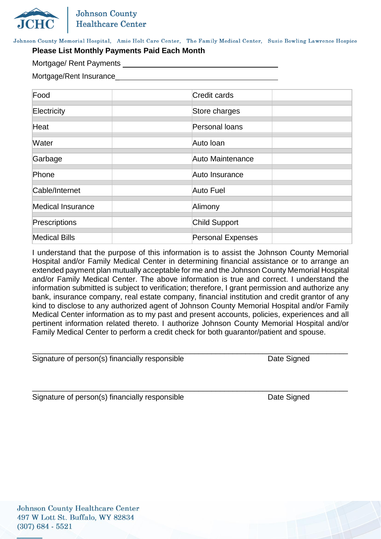Johnson County Memorial Hospital, Amie Holt Care Center, The Family Medical Center, Susie Bowling Lawrence Hospice

#### **Please List Monthly Payments Paid Each Month**

Mortgage/ Rent Payments

Mortgage/Rent Insurance\_

| Food                     | <b>Credit cards</b>      |  |
|--------------------------|--------------------------|--|
| Electricity              | Store charges            |  |
| Heat                     | Personal loans           |  |
| Water                    | Auto Ioan                |  |
| Garbage                  | Auto Maintenance         |  |
| Phone                    | Auto Insurance           |  |
| Cable/Internet           | <b>Auto Fuel</b>         |  |
| <b>Medical Insurance</b> | Alimony                  |  |
| Prescriptions            | Child Support            |  |
| <b>Medical Bills</b>     | <b>Personal Expenses</b> |  |

I understand that the purpose of this information is to assist the Johnson County Memorial Hospital and/or Family Medical Center in determining financial assistance or to arrange an extended payment plan mutually acceptable for me and the Johnson County Memorial Hospital and/or Family Medical Center. The above information is true and correct. I understand the information submitted is subject to verification; therefore, I grant permission and authorize any bank, insurance company, real estate company, financial institution and credit grantor of any kind to disclose to any authorized agent of Johnson County Memorial Hospital and/or Family Medical Center information as to my past and present accounts, policies, experiences and all pertinent information related thereto. I authorize Johnson County Memorial Hospital and/or Family Medical Center to perform a credit check for both guarantor/patient and spouse.

\_\_\_\_\_\_\_\_\_\_\_\_\_\_\_\_\_\_\_\_\_\_\_\_\_\_\_\_\_\_\_\_\_\_\_\_\_\_\_\_\_\_\_\_\_\_\_\_\_\_\_\_\_\_\_\_\_\_\_\_\_\_\_\_\_\_\_\_\_\_\_\_\_\_

Signature of person(s) financially responsible Date Signed Date Signed

\_\_\_\_\_\_\_\_\_\_\_\_\_\_\_\_\_\_\_\_\_\_\_\_\_\_\_\_\_\_\_\_\_\_\_\_\_\_\_\_\_\_\_\_\_\_\_\_\_\_\_\_\_\_\_\_\_\_\_\_\_\_\_\_\_\_\_\_\_\_\_\_\_\_

Signature of person(s) financially responsible Date Signed Date Signed